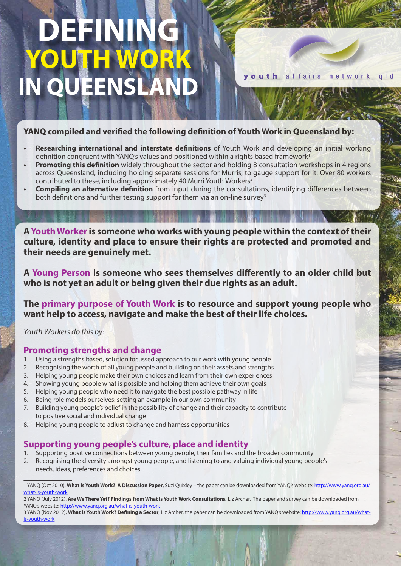# **DEFININ YOUTH WORK IN OUEENS**

youth affairs network gld

#### **YANQ compiled and verified the following definition of Youth Work in Queensland by:**

- **Researching international and interstate definitions** of Youth Work and developing an initial working definition congruent with YANQ's values and positioned within a rights based framework<sup>1</sup>
- **Promoting this definition** widely throughout the sector and holding 8 consultation workshops in 4 regions across Queensland, including holding separate sessions for Murris, to gauge support for it. Over 80 workers contributed to these, including approximately 40 Murri Youth Workers<sup>2</sup>
- **Compiling an alternative definition** from input during the consultations, identifying differences between both definitions and further testing support for them via an on-line survey<sup>3</sup>

**A Youth Worker is someone who works with young people within the context of their culture, identity and place to ensure their rights are protected and promoted and their needs are genuinely met.**

**A Young Person is someone who sees themselves differently to an older child but who is not yet an adult or being given their due rights as an adult.**

**The primary purpose of Youth Work is to resource and support young people who want help to access, navigate and make the best of their life choices.**

*Youth Workers do this by:*

#### **Promoting strengths and change**

- 1. Using a strengths based, solution focussed approach to our work with young people
- 2. Recognising the worth of all young people and building on their assets and strengths
- 3. Helping young people make their own choices and learn from their own experiences
- 4. Showing young people what is possible and helping them achieve their own goals
- 5. Helping young people who need it to navigate the best possible pathway in life
- 6. Being role models ourselves: setting an example in our own community
- 7. Building young people's belief in the possibility of change and their capacity to contribute to positive social and individual change
- 8. Helping young people to adjust to change and harness opportunities

### **Supporting young people's culture, place and identity**

- 1. Supporting positive connections between young people, their families and the broader community
- 2. Recognising the diversity amongst young people, and listening to and valuing individual young people's needs, ideas, preferences and choices

<sup>1</sup> YANQ (Oct 2010), **What is Youth Work? A Discussion Paper**, Suzi Quixley – the paper can be downloaded from YANQ's website: http://www.yanq.org.au/ what-is-youth-work

<sup>2</sup> YANQ (July 2012), **Are We There Yet? Findings from What is Youth Work Consultations,** Liz Archer. The paper and survey can be downloaded from YANQ's website: http://www.yanq.org.au/what-is-youth-work

<sup>3</sup> YANQ (Nov 2012), **What is Youth Work? Defining a Sector**, Liz Archer. the paper can be downloaded from YANQ's website: http://www.yanq.org.au/whatis-youth-work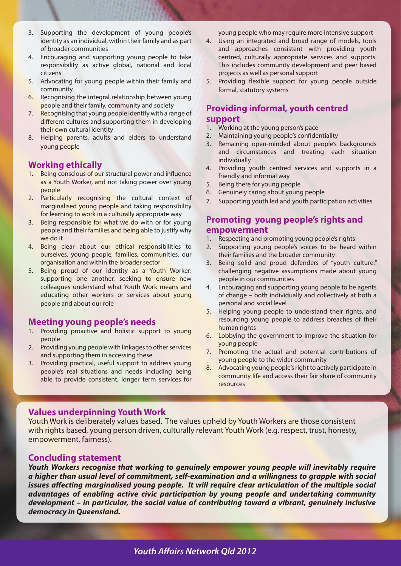- 3. Supporting the development of young people's identity as an individual, within their family and as part of broader communities
- 4. Encouraging and supporting young people to take responsibility as active global, national and local citizens
- 5. Advocating for young people within their family and community
- 6. Recognising the integral relationship between young people and their family, community and society
- 7. Recognising that young people identify with a range of different cultures and supporting them in developing their own cultural identity
- 8. Helping parents, adults and elders to understand young people

#### **Working ethically**

- 1. Being conscious of our structural power and influence as a Youth Worker, and not taking power over young people
- 2. Particularly recognising the cultural context of marginalised young people and taking responsibility for learning to work in a culturally appropriate way
- 3. Being responsible for what we do with or for young people and their families and being able to justify why we do it
- 4. Being clear about our ethical responsibilities to ourselves, young people, families, communities, our organisation and within the broader sector
- 5. Being proud of our identity as a Youth Worker: supporting one another, seeking to ensure new colleagues understand what Youth Work means and educating other workers or services about young people and about our role

#### **Meeting young people's needs**

- 1. Providing proactive and holistic support to young people
- 2. Providing young people with linkages to other services and supporting them in accessing these
- 3. Providing practical, useful support to address young people's real situations and needs including being able to provide consistent, longer term services for

young people who may require more intensive support

- 4. Using an integrated and broad range of models, tools and approaches consistent with providing youth centred, culturally appropriate services and supports. This includes community development and peer based projects as well as personal support
- 5. Providing flexible support for young people outside formal, statutory systems

#### **Providing informal, youth centred support**

- 1. Working at the young person's pace
- 2. Maintaining young people's confidentiality
- 3. Remaining open-minded about people's backgrounds and circumstances and treating each situation individually
- 4. Providing youth centred services and supports in a friendly and informal way
- 5. Being there for young people
- 6. Genuinely caring about young people
- 7. Supporting youth led and youth participation activities

#### **Promoting young people's rights and empowerment**

- 1. Respecting and promoting young people's rights
- 2. Supporting young people's voices to be heard within their families and the broader community
- 3. Being solid and proud defenders of "youth culture:" challenging negative assumptions made about young people in our communities
- 4. Encouraging and supporting young people to be agents of change – both individually and collectively at both a personal and social level
- 5. Helping young people to understand their rights, and resourcing young people to address breaches of their human rights
- 6. Lobbying the government to improve the situation for young people
- 7. Promoting the actual and potential contributions of young people to the wider community
- 8. Advocating young people's right to actively participate in community life and access their fair share of community resources

#### **Values underpinning Youth Work**

Youth Work is deliberately values based. The values upheld by Youth Workers are those consistent with rights based, young person driven, culturally relevant Youth Work (e.g. respect, trust, honesty, empowerment, fairness).

#### **Concluding statement**

*Youth Workers recognise that working to genuinely empower young people will inevitably require a higher than usual level of commitment, self-examination and a willingness to grapple with social issues affecting marginalised young people. It will require clear articulation of the multiple social advantages of enabling active civic participation by young people and undertaking community development – in particular, the social value of contributing toward a vibrant, genuinely inclusive democracy in Queensland.*

*Youth Affairs Network Qld 2012*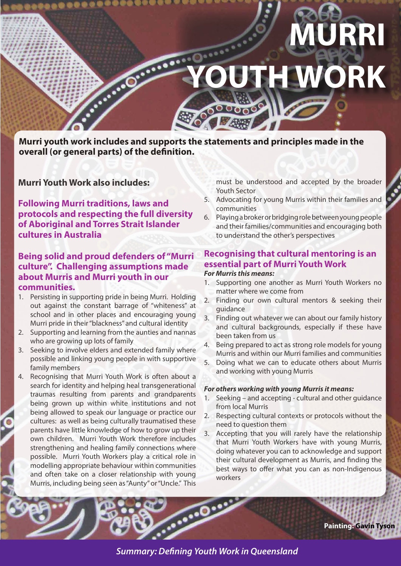

**Murri youth work includes and supports the statements and principles made in the overall (or general parts) of the definition.**

**Murri Youth Work also includes:**

**Following Murri traditions, laws and protocols and respecting the full diversity of Aboriginal and Torres Strait Islander cultures in Australia**

### **Being solid and proud defenders of "Murri culture". Challenging assumptions made about Murris and Murri youth in our communities.**

- 1. Persisting in supporting pride in being Murri. Holding out against the constant barrage of "whiteness" at school and in other places and encouraging young Murri pride in their "blackness" and cultural identity
- 2. Supporting and learning from the aunties and nannas who are growing up lots of family
- 3. Seeking to involve elders and extended family where possible and linking young people in with supportive family members
- 4. Recognising that Murri Youth Work is often about a search for identity and helping heal transgenerational traumas resulting from parents and grandparents being grown up within white institutions and not being allowed to speak our language or practice our cultures: as well as being culturally traumatised these parents have little knowledge of how to grow up their own children. Murri Youth Work therefore includes strengthening and healing family connections where possible. Murri Youth Workers play a critical role in modelling appropriate behaviour within communities and often take on a closer relationship with young Murris, including being seen as "Aunty" or "Uncle." This

must be understood and accepted by the broader Youth Sector

- 5. Advocating for young Murris within their families and communities
- 6. Playing a broker or bridging role between young people and their families/communities and encouraging both to understand the other's perspectives

#### **Recognising that cultural mentoring is an essential part of Murri Youth Work** *For Murris this means:*

- 1. Supporting one another as Murri Youth Workers no matter where we come from
- 2. Finding our own cultural mentors & seeking their guidance
- 3. Finding out whatever we can about our family history and cultural backgrounds, especially if these have been taken from us
- Being prepared to act as strong role models for young Murris and within our Murri families and communities
- 5. Doing what we can to educate others about Murris and working with young Murris

#### *For others working with young Murris it means:*

- 1. Seeking and accepting cultural and other guidance from local Murris
- 2. Respecting cultural contexts or protocols without the need to question them
- 3. Accepting that you will rarely have the relationship that Murri Youth Workers have with young Murris, doing whatever you can to acknowledge and support their cultural development as Murris, and finding the best ways to offer what you can as non-Indigenous workers

**Painting: Gavin Tyson**

*Summary: Defining Youth Work in Queensland*

<u>. . . . .</u>